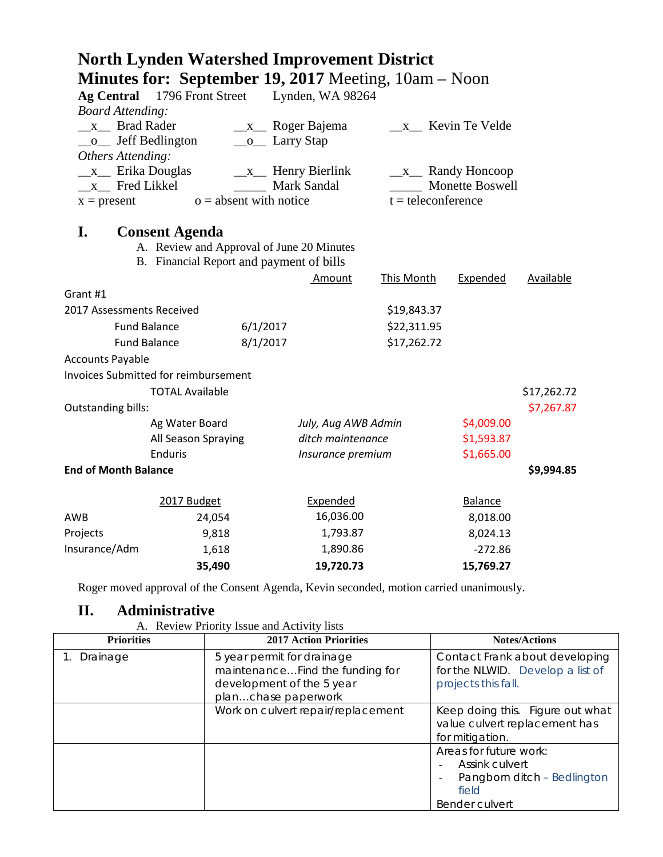|                             | <b>Minutes for: September 19, 2017</b> Meeting, $10am - Noon$ |                          |                                     |                      |                           |             |
|-----------------------------|---------------------------------------------------------------|--------------------------|-------------------------------------|----------------------|---------------------------|-------------|
|                             | Ag Central 1796 Front Street                                  |                          | Lynden, WA 98264                    |                      |                           |             |
| <b>Board Attending:</b>     |                                                               |                          |                                     |                      |                           |             |
| $\mathbf{X}$                | <b>Brad Rader</b>                                             |                          | $\frac{\mathbf{x}}{2}$ Roger Bajema |                      | x Kevin Te Velde          |             |
| $\mathbf{O}$                | Jeff Bedlington                                               | $\_\_o$ Larry Stap       |                                     |                      |                           |             |
| Others Attending:           |                                                               |                          |                                     |                      |                           |             |
| $\mathbf{x}$ Erika Douglas  |                                                               |                          | $\_\_x\_\_$ Henry Bierlink          |                      | $\_\_x\_\_$ Randy Honcoop |             |
| x Fred Likkel               |                                                               |                          | Mark Sandal                         |                      | Monette Boswell           |             |
| $x = present$               |                                                               | $o =$ absent with notice |                                     | $t =$ teleconference |                           |             |
| I.                          | <b>Consent Agenda</b>                                         |                          |                                     |                      |                           |             |
|                             | A. Review and Approval of June 20 Minutes                     |                          |                                     |                      |                           |             |
|                             | B. Financial Report and payment of bills                      |                          |                                     |                      |                           |             |
|                             |                                                               |                          | Amount                              | This Month           | Expended                  | Available   |
| Grant #1                    |                                                               |                          |                                     |                      |                           |             |
| 2017 Assessments Received   |                                                               |                          |                                     | \$19,843.37          |                           |             |
|                             | <b>Fund Balance</b>                                           | 6/1/2017                 |                                     | \$22,311.95          |                           |             |
|                             | <b>Fund Balance</b>                                           | 8/1/2017                 |                                     | \$17,262.72          |                           |             |
| <b>Accounts Payable</b>     |                                                               |                          |                                     |                      |                           |             |
|                             | <b>Invoices Submitted for reimbursement</b>                   |                          |                                     |                      |                           |             |
|                             | <b>TOTAL Available</b>                                        |                          |                                     |                      |                           | \$17,262.72 |
| Outstanding bills:          |                                                               |                          |                                     |                      |                           | \$7,267.87  |
|                             | Ag Water Board                                                |                          | July, Aug AWB Admin                 |                      | \$4,009.00                |             |
|                             | All Season Spraying                                           |                          | ditch maintenance                   |                      | \$1,593.87                |             |
|                             | <b>Enduris</b>                                                |                          | Insurance premium                   |                      | \$1,665.00                |             |
| <b>End of Month Balance</b> |                                                               |                          |                                     |                      |                           | \$9,994.85  |
|                             |                                                               |                          |                                     |                      |                           |             |
|                             | 2017 Budget                                                   |                          | Expended                            |                      | <b>Balance</b>            |             |
| AWB                         | 24,054                                                        |                          | 16,036.00                           |                      | 8,018.00                  |             |
| Projects                    | 9,818                                                         |                          | 1,793.87                            |                      | 8,024.13                  |             |
| Insurance/Adm               | 1,618                                                         |                          | 1,890.86                            |                      | $-272.86$                 |             |
|                             | 35,490                                                        |                          | 19,720.73                           |                      | 15,769.27                 |             |

**North Lynden Watershed Improvement District**

Roger moved approval of the Consent Agenda, Kevin seconded, motion carried unanimously.

# **II. Administrative**

|  |  |  | A. Review Priority Issue and Activity lists |  |  |
|--|--|--|---------------------------------------------|--|--|
|--|--|--|---------------------------------------------|--|--|

| <b>Priorities</b> | <b>2017 Action Priorities</b>                                                                                     | <b>Notes/Actions</b>                                                                                           |
|-------------------|-------------------------------------------------------------------------------------------------------------------|----------------------------------------------------------------------------------------------------------------|
| Drainage          | 5 year permit for drainage<br>maintenanceFind the funding for<br>development of the 5 year<br>planchase paperwork | Contact Frank about developing<br>for the NLWID. Develop a list of<br>projects this fall.                      |
|                   | Work on culvert repair/replacement                                                                                | Keep doing this. Figure out what<br>value culvert replacement has<br>for mitigation.                           |
|                   |                                                                                                                   | Areas for future work:<br><b>Assink culvert</b><br>Pangborn ditch - Bedlington<br>۰<br>field<br>Bender culvert |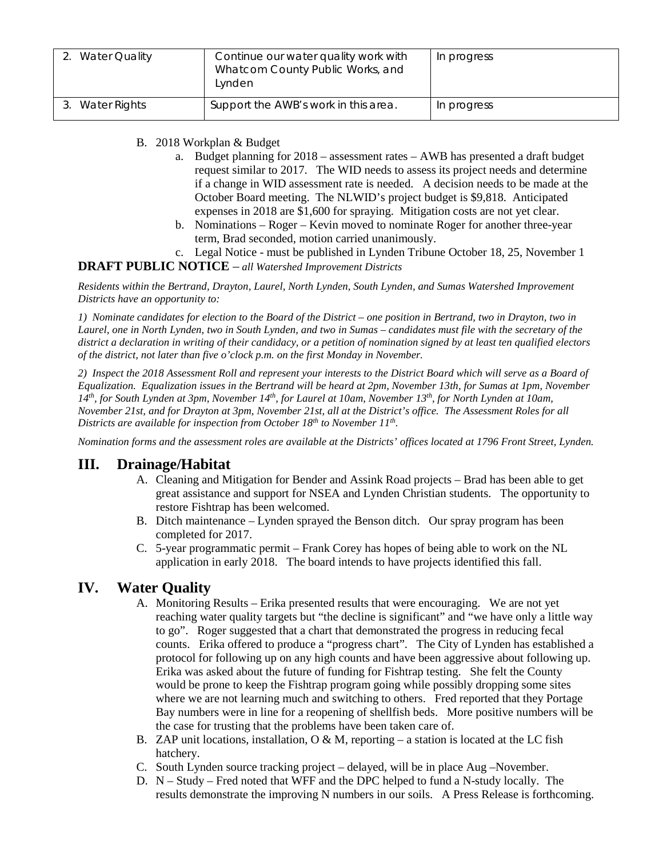| <b>Water Quality</b> | Continue our water quality work with<br>Whatcom County Public Works, and<br>Lynden | In progress |
|----------------------|------------------------------------------------------------------------------------|-------------|
| 3. Water Rights      | Support the AWB's work in this area.                                               | In progress |

#### B. 2018 Workplan & Budget

- a. Budget planning for 2018 assessment rates AWB has presented a draft budget request similar to 2017. The WID needs to assess its project needs and determine if a change in WID assessment rate is needed. A decision needs to be made at the October Board meeting. The NLWID's project budget is \$9,818. Anticipated expenses in 2018 are \$1,600 for spraying. Mitigation costs are not yet clear.
- b. Nominations Roger Kevin moved to nominate Roger for another three-year term, Brad seconded, motion carried unanimously.
- c. Legal Notice must be published in Lynden Tribune October 18, 25, November 1

#### **DRAFT PUBLIC NOTICE** – *all Watershed Improvement Districts*

*Residents within the Bertrand, Drayton, Laurel, North Lynden, South Lynden, and Sumas Watershed Improvement Districts have an opportunity to:*

*1) Nominate candidates for election to the Board of the District – one position in Bertrand, two in Drayton, two in Laurel, one in North Lynden, two in South Lynden, and two in Sumas – candidates must file with the secretary of the district a declaration in writing of their candidacy, or a petition of nomination signed by at least ten qualified electors of the district, not later than five o'clock p.m. on the first Monday in November.*

*2) Inspect the 2018 Assessment Roll and represent your interests to the District Board which will serve as a Board of Equalization. Equalization issues in the Bertrand will be heard at 2pm, November 13th, for Sumas at 1pm, November 14th, for South Lynden at 3pm, November 14th, for Laurel at 10am, November 13th, for North Lynden at 10am, November 21st, and for Drayton at 3pm, November 21st, all at the District's office. The Assessment Roles for all Districts are available for inspection from October 18th to November 11th.*

*Nomination forms and the assessment roles are available at the Districts' offices located at 1796 Front Street, Lynden.*

#### **III. Drainage/Habitat**

- A. Cleaning and Mitigation for Bender and Assink Road projects Brad has been able to get great assistance and support for NSEA and Lynden Christian students. The opportunity to restore Fishtrap has been welcomed.
- B. Ditch maintenance Lynden sprayed the Benson ditch. Our spray program has been completed for 2017.
- C. 5-year programmatic permit Frank Corey has hopes of being able to work on the NL application in early 2018. The board intends to have projects identified this fall.

### **IV. Water Quality**

- A. Monitoring Results Erika presented results that were encouraging. We are not yet reaching water quality targets but "the decline is significant" and "we have only a little way to go". Roger suggested that a chart that demonstrated the progress in reducing fecal counts. Erika offered to produce a "progress chart". The City of Lynden has established a protocol for following up on any high counts and have been aggressive about following up. Erika was asked about the future of funding for Fishtrap testing. She felt the County would be prone to keep the Fishtrap program going while possibly dropping some sites where we are not learning much and switching to others. Fred reported that they Portage Bay numbers were in line for a reopening of shellfish beds. More positive numbers will be the case for trusting that the problems have been taken care of.
- B. ZAP unit locations, installation,  $O \& M$ , reporting a station is located at the LC fish hatchery.
- C. South Lynden source tracking project delayed, will be in place Aug –November.
- D. N Study Fred noted that WFF and the DPC helped to fund a N-study locally. The results demonstrate the improving N numbers in our soils. A Press Release is forthcoming.